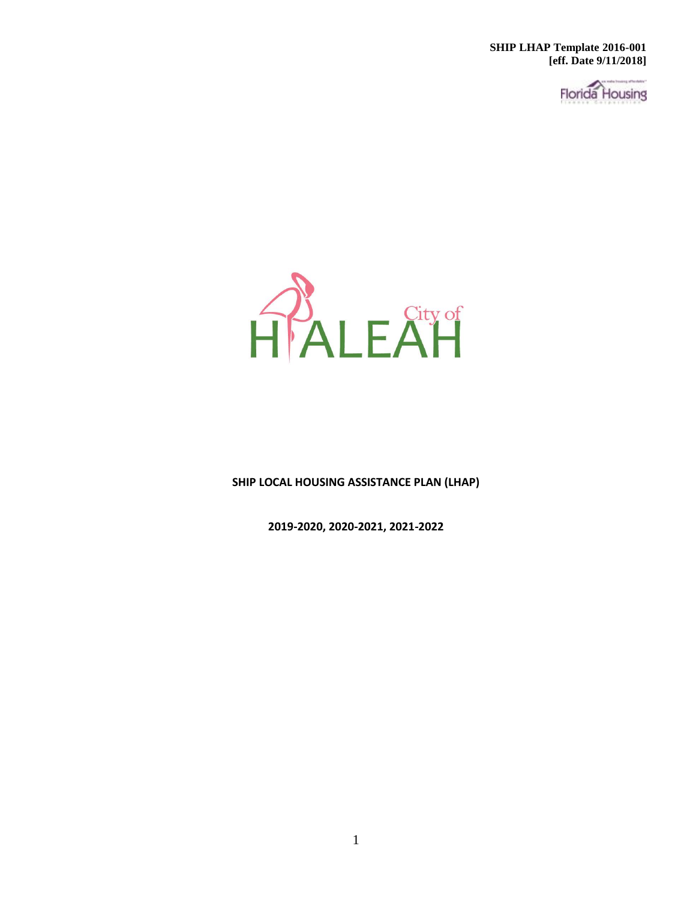**SHIP LHAP Template 2016-001 [eff. Date 9/11/2018]**

**Florida** Housing



**SHIP LOCAL HOUSING ASSISTANCE PLAN (LHAP)**

**2019-2020, 2020-2021, 2021-2022**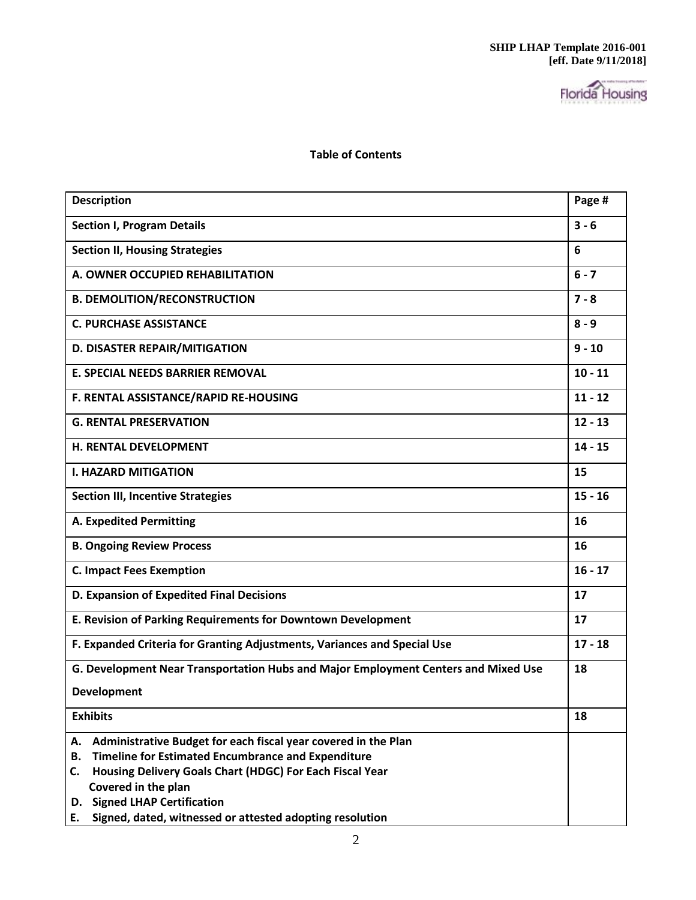

**Table of Contents**

| <b>Description</b>                                                                                                                      | Page #    |
|-----------------------------------------------------------------------------------------------------------------------------------------|-----------|
| <b>Section I, Program Details</b>                                                                                                       | $3 - 6$   |
| <b>Section II, Housing Strategies</b>                                                                                                   | 6         |
| A. OWNER OCCUPIED REHABILITATION                                                                                                        | $6 - 7$   |
| <b>B. DEMOLITION/RECONSTRUCTION</b>                                                                                                     | $7 - 8$   |
| <b>C. PURCHASE ASSISTANCE</b>                                                                                                           | $8 - 9$   |
| <b>D. DISASTER REPAIR/MITIGATION</b>                                                                                                    | $9 - 10$  |
| <b>E. SPECIAL NEEDS BARRIER REMOVAL</b>                                                                                                 | $10 - 11$ |
| F. RENTAL ASSISTANCE/RAPID RE-HOUSING                                                                                                   | $11 - 12$ |
| <b>G. RENTAL PRESERVATION</b>                                                                                                           | $12 - 13$ |
| <b>H. RENTAL DEVELOPMENT</b>                                                                                                            | $14 - 15$ |
| <b>I. HAZARD MITIGATION</b>                                                                                                             | 15        |
| <b>Section III, Incentive Strategies</b>                                                                                                | $15 - 16$ |
| <b>A. Expedited Permitting</b>                                                                                                          | 16        |
| <b>B. Ongoing Review Process</b>                                                                                                        | 16        |
| <b>C. Impact Fees Exemption</b>                                                                                                         | $16 - 17$ |
| D. Expansion of Expedited Final Decisions                                                                                               | 17        |
| E. Revision of Parking Requirements for Downtown Development                                                                            | 17        |
| F. Expanded Criteria for Granting Adjustments, Variances and Special Use                                                                | $17 - 18$ |
| G. Development Near Transportation Hubs and Major Employment Centers and Mixed Use                                                      | 18        |
| <b>Development</b>                                                                                                                      |           |
| <b>Exhibits</b>                                                                                                                         | 18        |
| Administrative Budget for each fiscal year covered in the Plan<br>А.<br><b>Timeline for Estimated Encumbrance and Expenditure</b><br>В. |           |
| Housing Delivery Goals Chart (HDGC) For Each Fiscal Year<br>C.                                                                          |           |
| Covered in the plan                                                                                                                     |           |
| D. Signed LHAP Certification                                                                                                            |           |
| Signed, dated, witnessed or attested adopting resolution<br>Е.                                                                          |           |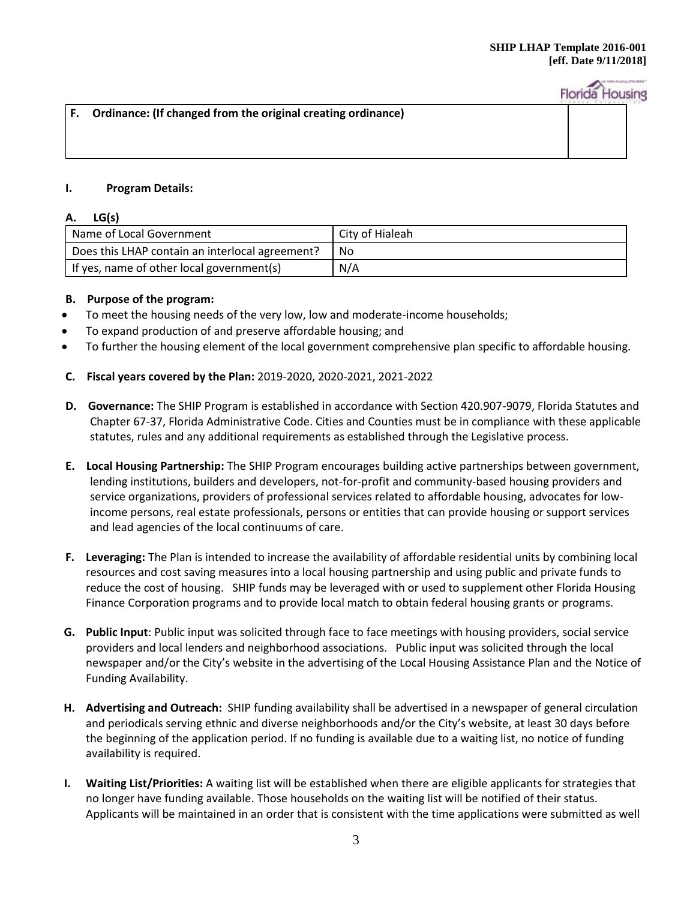| $\vert$ F. Ordinance: (If changed from the original creating ordinance) |  |
|-------------------------------------------------------------------------|--|
|                                                                         |  |
|                                                                         |  |
|                                                                         |  |

# **I. Program Details:**

## **A. LG(s)**

| Name of Local Government                        | City of Hialeah |
|-------------------------------------------------|-----------------|
| Does this LHAP contain an interlocal agreement? | No.             |
| If yes, name of other local government(s)       | N/A             |

## **B. Purpose of the program:**

- To meet the housing needs of the very low, low and moderate-income households;
- To expand production of and preserve affordable housing; and
- To further the housing element of the local government comprehensive plan specific to affordable housing.

## **C. Fiscal years covered by the Plan:** 2019-2020, 2020-2021, 2021-2022

- **D. Governance:** The SHIP Program is established in accordance with Section 420.907-9079, Florida Statutes and Chapter 67-37, Florida Administrative Code. Cities and Counties must be in compliance with these applicable statutes, rules and any additional requirements as established through the Legislative process.
- **E. Local Housing Partnership:** The SHIP Program encourages building active partnerships between government, lending institutions, builders and developers, not-for-profit and community-based housing providers and service organizations, providers of professional services related to affordable housing, advocates for lowincome persons, real estate professionals, persons or entities that can provide housing or support services and lead agencies of the local continuums of care.
- **F. Leveraging:** The Plan is intended to increase the availability of affordable residential units by combining local resources and cost saving measures into a local housing partnership and using public and private funds to reduce the cost of housing. SHIP funds may be leveraged with or used to supplement other Florida Housing Finance Corporation programs and to provide local match to obtain federal housing grants or programs.
- **G. Public Input**: Public input was solicited through face to face meetings with housing providers, social service providers and local lenders and neighborhood associations. Public input was solicited through the local newspaper and/or the City's website in the advertising of the Local Housing Assistance Plan and the Notice of Funding Availability.
- **H. Advertising and Outreach:** SHIP funding availability shall be advertised in a newspaper of general circulation and periodicals serving ethnic and diverse neighborhoods and/or the City's website, at least 30 days before the beginning of the application period. If no funding is available due to a waiting list, no notice of funding availability is required.
- **I. Waiting List/Priorities:** A waiting list will be established when there are eligible applicants for strategies that no longer have funding available. Those households on the waiting list will be notified of their status. Applicants will be maintained in an order that is consistent with the time applications were submitted as well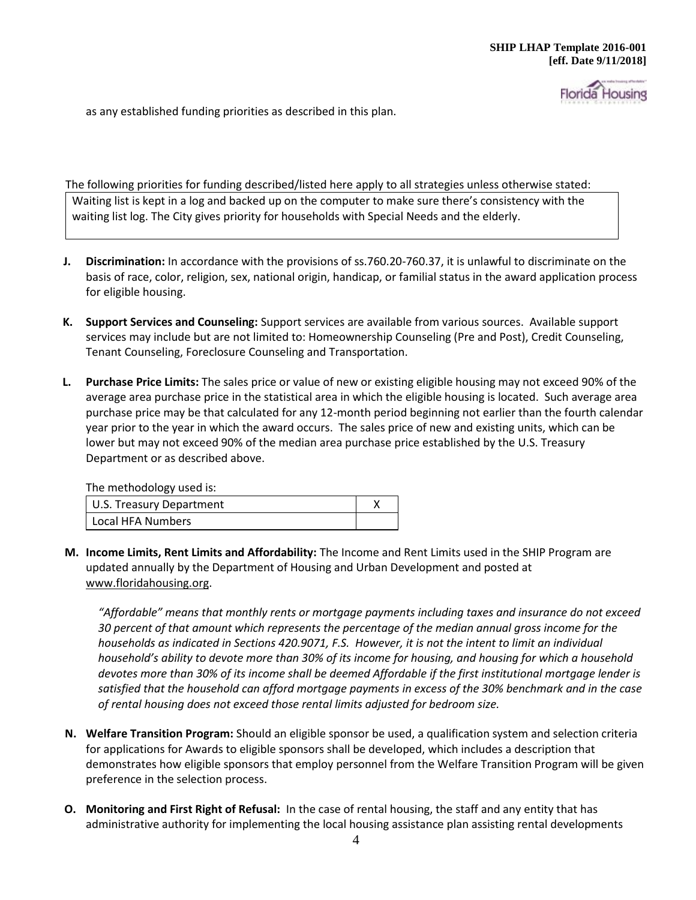Housing

as any established funding priorities as described in this plan.

The following priorities for funding described/listed here apply to all strategies unless otherwise stated: Waiting list is kept in a log and backed up on the computer to make sure there's consistency with the waiting list log. The City gives priority for households with Special Needs and the elderly.

- **J. Discrimination:** In accordance with the provisions of ss.760.20-760.37, it is unlawful to discriminate on the basis of race, color, religion, sex, national origin, handicap, or familial status in the award application process for eligible housing.
- **K. Support Services and Counseling:** Support services are available from various sources. Available support services may include but are not limited to: Homeownership Counseling (Pre and Post), Credit Counseling, Tenant Counseling, Foreclosure Counseling and Transportation.
- **L. Purchase Price Limits:** The sales price or value of new or existing eligible housing may not exceed 90% of the average area purchase price in the statistical area in which the eligible housing is located. Such average area purchase price may be that calculated for any 12-month period beginning not earlier than the fourth calendar year prior to the year in which the award occurs. The sales price of new and existing units, which can be lower but may not exceed 90% of the median area purchase price established by the U.S. Treasury Department or as described above.

The methodology used is:

| U.S. Treasury Department |  |
|--------------------------|--|
| Local HFA Numbers        |  |

**M. Income Limits, Rent Limits and Affordability:** The Income and Rent Limits used in the SHIP Program are updated annually by the Department of Housing and Urban Development and posted at [www.floridahousing.org.](http://www.floridahousing.org/)

*"Affordable" means that monthly rents or mortgage payments including taxes and insurance do not exceed 30 percent of that amount which represents the percentage of the median annual gross income for the households as indicated in Sections 420.9071, F.S. However, it is not the intent to limit an individual household's ability to devote more than 30% of its income for housing, and housing for which a household devotes more than 30% of its income shall be deemed Affordable if the first institutional mortgage lender is satisfied that the household can afford mortgage payments in excess of the 30% benchmark and in the case of rental housing does not exceed those rental limits adjusted for bedroom size.*

- **N. Welfare Transition Program:** Should an eligible sponsor be used, a qualification system and selection criteria for applications for Awards to eligible sponsors shall be developed, which includes a description that demonstrates how eligible sponsors that employ personnel from the Welfare Transition Program will be given preference in the selection process.
- **O. Monitoring and First Right of Refusal:** In the case of rental housing, the staff and any entity that has administrative authority for implementing the local housing assistance plan assisting rental developments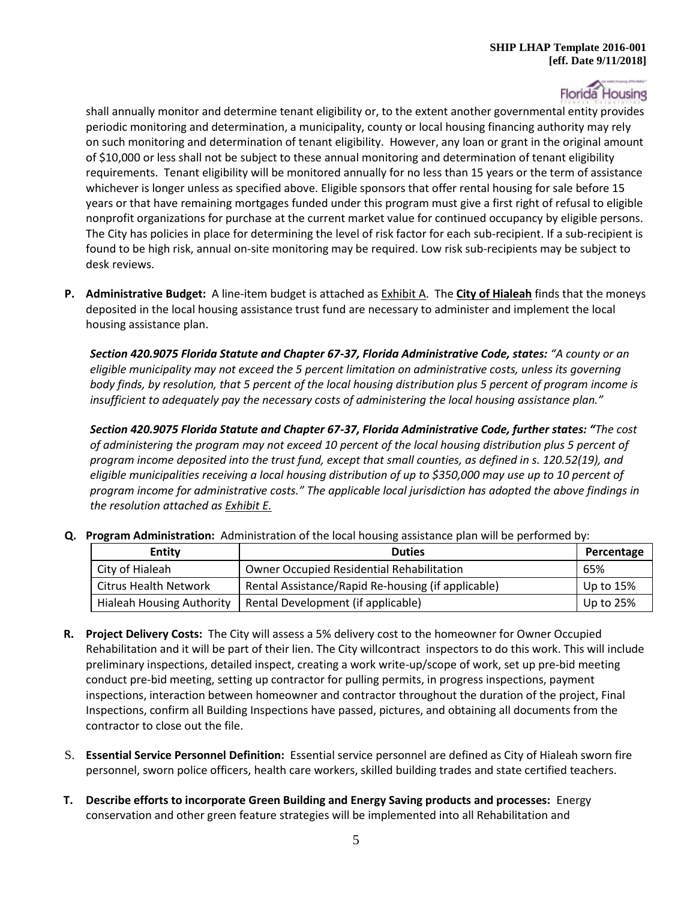shall annually monitor and determine tenant eligibility or, to the extent another governmental entity provides periodic monitoring and determination, a municipality, county or local housing financing authority may rely on such monitoring and determination of tenant eligibility. However, any loan or grant in the original amount of \$10,000 or less shall not be subject to these annual monitoring and determination of tenant eligibility requirements. Tenant eligibility will be monitored annually for no less than 15 years or the term of assistance whichever is longer unless as specified above. Eligible sponsors that offer rental housing for sale before 15 years or that have remaining mortgages funded under this program must give a first right of refusal to eligible nonprofit organizations for purchase at the current market value for continued occupancy by eligible persons. The City has policies in place for determining the level of risk factor for each sub-recipient. If a sub-recipient is found to be high risk, annual on-site monitoring may be required. Low risk sub-recipients may be subject to desk reviews.

**P. Administrative Budget:** A line-item budget is attached as Exhibit A. The **City of Hialeah** finds that the moneys deposited in the local housing assistance trust fund are necessary to administer and implement the local housing assistance plan.

*Section 420.9075 Florida Statute and Chapter 67-37, Florida Administrative Code, states: "A county or an eligible municipality may not exceed the 5 percent limitation on administrative costs, unless its governing body finds, by resolution, that 5 percent of the local housing distribution plus 5 percent of program income is insufficient to adequately pay the necessary costs of administering the local housing assistance plan."* 

*Section 420.9075 Florida Statute and Chapter 67-37, Florida Administrative Code, further states: "The cost of administering the program may not exceed 10 percent of the local housing distribution plus 5 percent of program income deposited into the trust fund, except that small counties, as defined in s. 120.52(19), and eligible municipalities receiving a local housing distribution of up to \$350,000 may use up to 10 percent of program income for administrative costs." The applicable local jurisdiction has adopted the above findings in the resolution attached as Exhibit E.* 

**Q. Program Administration:** Administration of the local housing assistance plan will be performed by:

| <b>Entity</b>                    | <b>Duties</b>                                      | Percentage  |
|----------------------------------|----------------------------------------------------|-------------|
| City of Hialeah                  | <b>Owner Occupied Residential Rehabilitation</b>   | 65%         |
| <b>Citrus Health Network</b>     | Rental Assistance/Rapid Re-housing (if applicable) | Up to 15%   |
| <b>Hialeah Housing Authority</b> | Rental Development (if applicable)                 | Up to $25%$ |

- **R. Project Delivery Costs:** The City will assess a 5% delivery cost to the homeowner for Owner Occupied Rehabilitation and it will be part of their lien. The City willcontract inspectors to do this work. This will include preliminary inspections, detailed inspect, creating a work write-up/scope of work, set up pre-bid meeting conduct pre-bid meeting, setting up contractor for pulling permits, in progress inspections, payment inspections, interaction between homeowner and contractor throughout the duration of the project, Final Inspections, confirm all Building Inspections have passed, pictures, and obtaining all documents from the contractor to close out the file.
- S. **Essential Service Personnel Definition:** Essential service personnel are defined as City of Hialeah sworn fire personnel, sworn police officers, health care workers, skilled building trades and state certified teachers.
- **T. Describe efforts to incorporate Green Building and Energy Saving products and processes:** Energy conservation and other green feature strategies will be implemented into all Rehabilitation and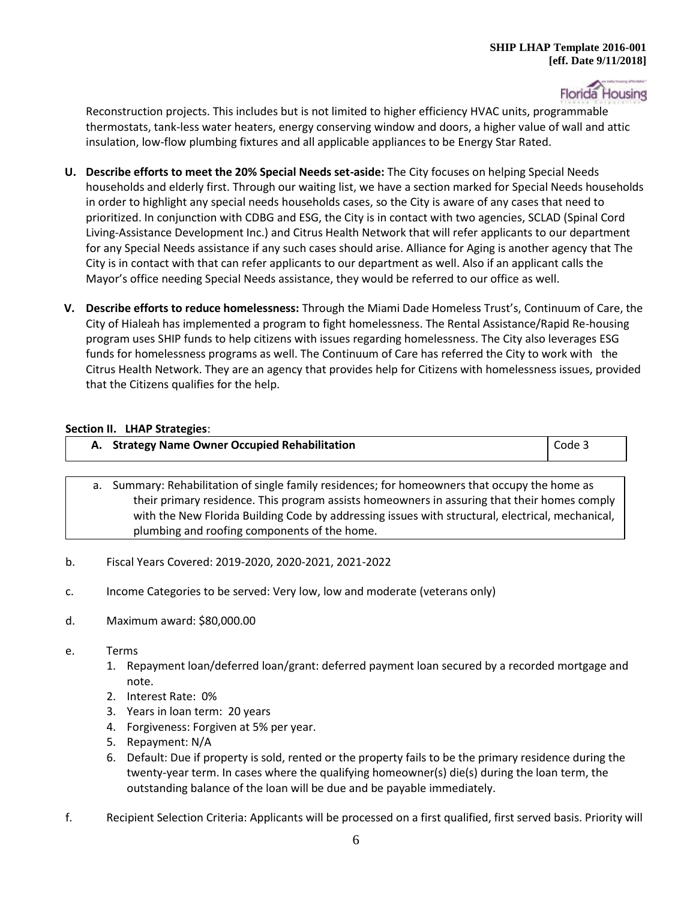

Reconstruction projects. This includes but is not limited to higher efficiency HVAC units, programmable thermostats, tank-less water heaters, energy conserving window and doors, a higher value of wall and attic insulation, low-flow plumbing fixtures and all applicable appliances to be Energy Star Rated.

- **U. Describe efforts to meet the 20% Special Needs set-aside:** The City focuses on helping Special Needs households and elderly first. Through our waiting list, we have a section marked for Special Needs households in order to highlight any special needs households cases, so the City is aware of any cases that need to prioritized. In conjunction with CDBG and ESG, the City is in contact with two agencies, SCLAD (Spinal Cord Living-Assistance Development Inc.) and Citrus Health Network that will refer applicants to our department for any Special Needs assistance if any such cases should arise. Alliance for Aging is another agency that The City is in contact with that can refer applicants to our department as well. Also if an applicant calls the Mayor's office needing Special Needs assistance, they would be referred to our office as well.
- **V. Describe efforts to reduce homelessness:** Through the Miami Dade Homeless Trust's, Continuum of Care, the City of Hialeah has implemented a program to fight homelessness. The Rental Assistance/Rapid Re-housing program uses SHIP funds to help citizens with issues regarding homelessness. The City also leverages ESG funds for homelessness programs as well. The Continuum of Care has referred the City to work with the Citrus Health Network. They are an agency that provides help for Citizens with homelessness issues, provided that the Citizens qualifies for the help.

## **Section II. LHAP Strategies**:

|     |    | A. Strategy Name Owner Occupied Rehabilitation                                                                                                                                                                                                                                                                                                  | Code 3 |
|-----|----|-------------------------------------------------------------------------------------------------------------------------------------------------------------------------------------------------------------------------------------------------------------------------------------------------------------------------------------------------|--------|
|     | а. | Summary: Rehabilitation of single family residences; for homeowners that occupy the home as<br>their primary residence. This program assists homeowners in assuring that their homes comply<br>with the New Florida Building Code by addressing issues with structural, electrical, mechanical,<br>plumbing and roofing components of the home. |        |
| $b$ |    | Fiscal Years Covered: 2019-2020, 2020-2021, 2021-2022                                                                                                                                                                                                                                                                                           |        |

- c. Income Categories to be served: Very low, low and moderate (veterans only)
- d. Maximum award: \$80,000.00
- e. Terms
	- 1. Repayment loan/deferred loan/grant: deferred payment loan secured by a recorded mortgage and note.
	- 2. Interest Rate: 0%
	- 3. Years in loan term: 20 years
	- 4. Forgiveness: Forgiven at 5% per year.
	- 5. Repayment: N/A
	- 6. Default: Due if property is sold, rented or the property fails to be the primary residence during the twenty-year term. In cases where the qualifying homeowner(s) die(s) during the loan term, the outstanding balance of the loan will be due and be payable immediately.
- f. Recipient Selection Criteria: Applicants will be processed on a first qualified, first served basis. Priority will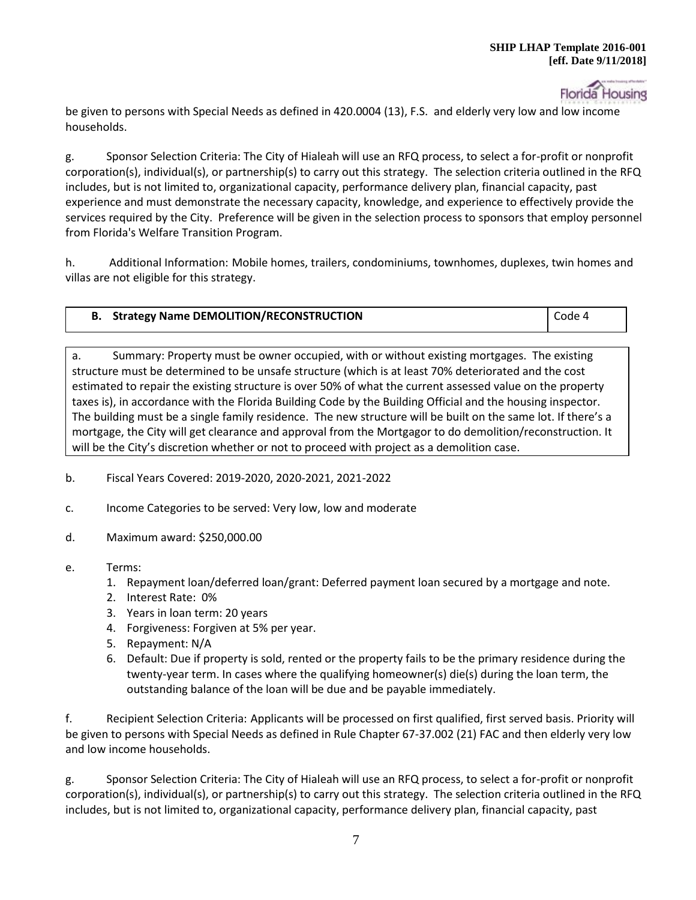

be given to persons with Special Needs as defined in 420.0004 (13), F.S. and elderly very low and low income households.

g. Sponsor Selection Criteria: The City of Hialeah will use an RFQ process, to select a for-profit or nonprofit corporation(s), individual(s), or partnership(s) to carry out this strategy. The selection criteria outlined in the RFQ includes, but is not limited to, organizational capacity, performance delivery plan, financial capacity, past experience and must demonstrate the necessary capacity, knowledge, and experience to effectively provide the services required by the City. Preference will be given in the selection process to sponsors that employ personnel from Florida's Welfare Transition Program.

h. Additional Information: Mobile homes, trailers, condominiums, townhomes, duplexes, twin homes and villas are not eligible for this strategy.

| <b>Strategy Name DEMOLITION/RECONSTRUCTION</b> | Code 4 |
|------------------------------------------------|--------|
|------------------------------------------------|--------|

a. Summary: Property must be owner occupied, with or without existing mortgages. The existing structure must be determined to be unsafe structure (which is at least 70% deteriorated and the cost estimated to repair the existing structure is over 50% of what the current assessed value on the property taxes is), in accordance with the Florida Building Code by the Building Official and the housing inspector. The building must be a single family residence. The new structure will be built on the same lot. If there's a mortgage, the City will get clearance and approval from the Mortgagor to do demolition/reconstruction. It will be the City's discretion whether or not to proceed with project as a demolition case.

- b. Fiscal Years Covered: 2019-2020, 2020-2021, 2021-2022
- c. Income Categories to be served: Very low, low and moderate
- d. Maximum award: \$250,000.00
- e. Terms:
	- 1. Repayment loan/deferred loan/grant: Deferred payment loan secured by a mortgage and note.
	- 2. Interest Rate: 0%
	- 3. Years in loan term: 20 years
	- 4. Forgiveness: Forgiven at 5% per year.
	- 5. Repayment: N/A
	- 6. Default: Due if property is sold, rented or the property fails to be the primary residence during the twenty-year term. In cases where the qualifying homeowner(s) die(s) during the loan term, the outstanding balance of the loan will be due and be payable immediately.

f. Recipient Selection Criteria: Applicants will be processed on first qualified, first served basis. Priority will be given to persons with Special Needs as defined in Rule Chapter 67-37.002 (21) FAC and then elderly very low and low income households.

g. Sponsor Selection Criteria: The City of Hialeah will use an RFQ process, to select a for-profit or nonprofit corporation(s), individual(s), or partnership(s) to carry out this strategy. The selection criteria outlined in the RFQ includes, but is not limited to, organizational capacity, performance delivery plan, financial capacity, past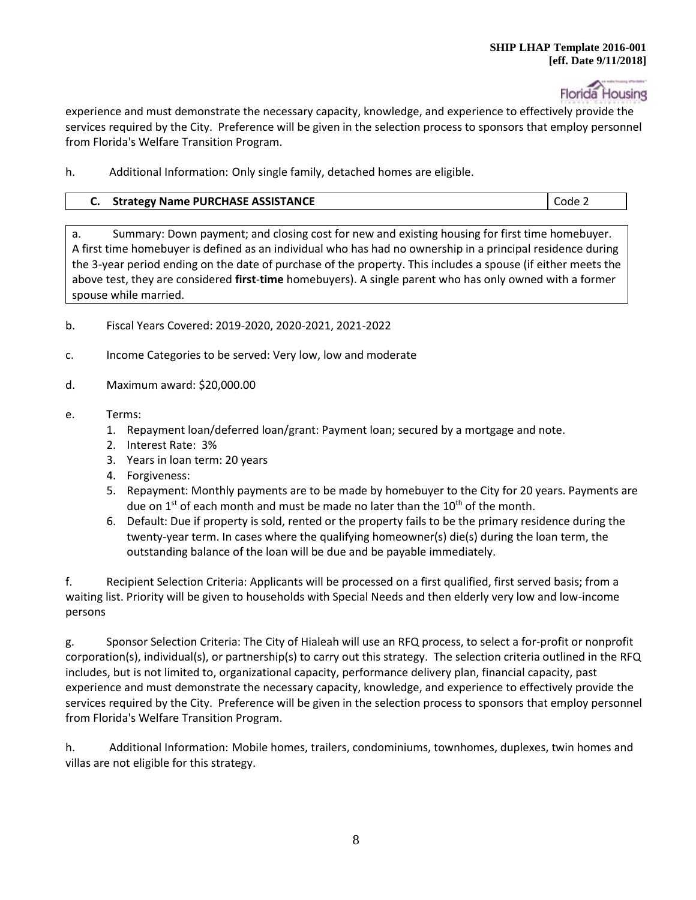

experience and must demonstrate the necessary capacity, knowledge, and experience to effectively provide the services required by the City. Preference will be given in the selection process to sponsors that employ personnel from Florida's Welfare Transition Program.

h. Additional Information: Only single family, detached homes are eligible.

# **C.** Strategy Name PURCHASE ASSISTANCE **CODE 2** Code 2

a. Summary: Down payment; and closing cost for new and existing housing for first time homebuyer. A first time homebuyer is defined as an individual who has had no ownership in a principal residence during the 3-year period ending on the date of purchase of the property. This includes a spouse (if either meets the above test, they are considered **first**-**time** homebuyers). A single parent who has only owned with a former spouse while married.

- b. Fiscal Years Covered: 2019-2020, 2020-2021, 2021-2022
- c. Income Categories to be served: Very low, low and moderate
- d. Maximum award: \$20,000.00
- e. Terms:
	- 1. Repayment loan/deferred loan/grant: Payment loan; secured by a mortgage and note.
	- 2. Interest Rate: 3%
	- 3. Years in loan term: 20 years
	- 4. Forgiveness:
	- 5. Repayment: Monthly payments are to be made by homebuyer to the City for 20 years. Payments are due on  $1^{st}$  of each month and must be made no later than the  $10^{th}$  of the month.
	- 6. Default: Due if property is sold, rented or the property fails to be the primary residence during the twenty-year term. In cases where the qualifying homeowner(s) die(s) during the loan term, the outstanding balance of the loan will be due and be payable immediately.

f. Recipient Selection Criteria: Applicants will be processed on a first qualified, first served basis; from a waiting list. Priority will be given to households with Special Needs and then elderly very low and low-income persons

g. Sponsor Selection Criteria: The City of Hialeah will use an RFQ process, to select a for-profit or nonprofit corporation(s), individual(s), or partnership(s) to carry out this strategy. The selection criteria outlined in the RFQ includes, but is not limited to, organizational capacity, performance delivery plan, financial capacity, past experience and must demonstrate the necessary capacity, knowledge, and experience to effectively provide the services required by the City. Preference will be given in the selection process to sponsors that employ personnel from Florida's Welfare Transition Program.

h. Additional Information: Mobile homes, trailers, condominiums, townhomes, duplexes, twin homes and villas are not eligible for this strategy.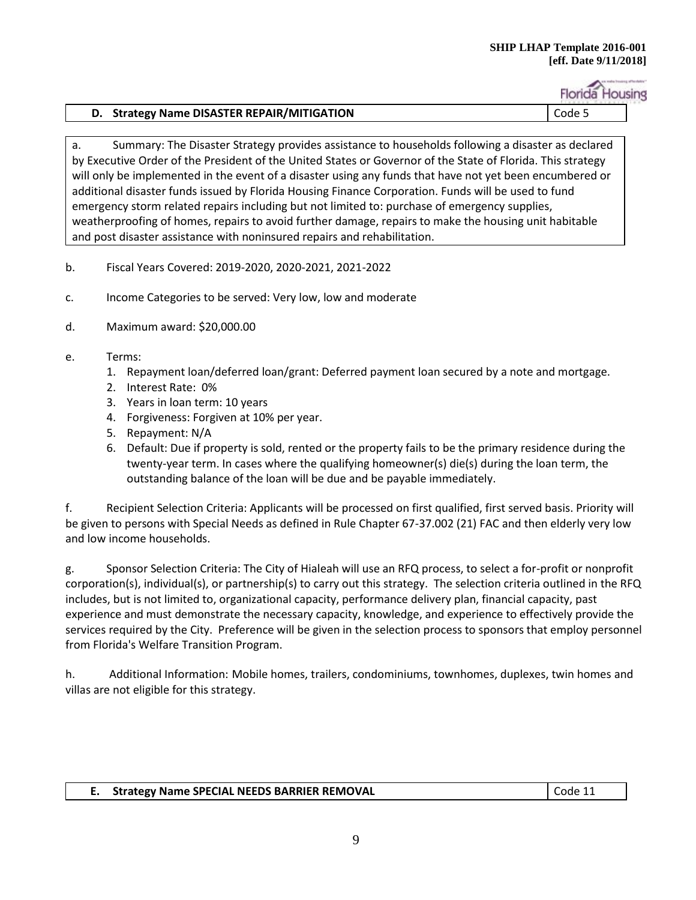### **SHIP LHAP Template 2016-001 [eff. Date 9/11/2018]**

**Florida Housing** 

# **D. Strategy Name DISASTER REPAIR/MITIGATION Code 5**

a. Summary: The Disaster Strategy provides assistance to households following a disaster as declared by Executive Order of the President of the United States or Governor of the State of Florida. This strategy will only be implemented in the event of a disaster using any funds that have not yet been encumbered or additional disaster funds issued by Florida Housing Finance Corporation. Funds will be used to fund emergency storm related repairs including but not limited to: purchase of emergency supplies, weatherproofing of homes, repairs to avoid further damage, repairs to make the housing unit habitable and post disaster assistance with noninsured repairs and rehabilitation.

- b. Fiscal Years Covered: 2019-2020, 2020-2021, 2021-2022
- c. Income Categories to be served: Very low, low and moderate
- d. Maximum award: \$20,000.00
- e. Terms:
	- 1. Repayment loan/deferred loan/grant: Deferred payment loan secured by a note and mortgage.
	- 2. Interest Rate: 0%
	- 3. Years in loan term: 10 years
	- 4. Forgiveness: Forgiven at 10% per year.
	- 5. Repayment: N/A
	- 6. Default: Due if property is sold, rented or the property fails to be the primary residence during the twenty-year term. In cases where the qualifying homeowner(s) die(s) during the loan term, the outstanding balance of the loan will be due and be payable immediately.

f. Recipient Selection Criteria: Applicants will be processed on first qualified, first served basis. Priority will be given to persons with Special Needs as defined in Rule Chapter 67-37.002 (21) FAC and then elderly very low and low income households.

g. Sponsor Selection Criteria: The City of Hialeah will use an RFQ process, to select a for-profit or nonprofit corporation(s), individual(s), or partnership(s) to carry out this strategy. The selection criteria outlined in the RFQ includes, but is not limited to, organizational capacity, performance delivery plan, financial capacity, past experience and must demonstrate the necessary capacity, knowledge, and experience to effectively provide the services required by the City. Preference will be given in the selection process to sponsors that employ personnel from Florida's Welfare Transition Program.

h. Additional Information: Mobile homes, trailers, condominiums, townhomes, duplexes, twin homes and villas are not eligible for this strategy.

# **E. Strategy Name SPECIAL NEEDS BARRIER REMOVAL** Code 11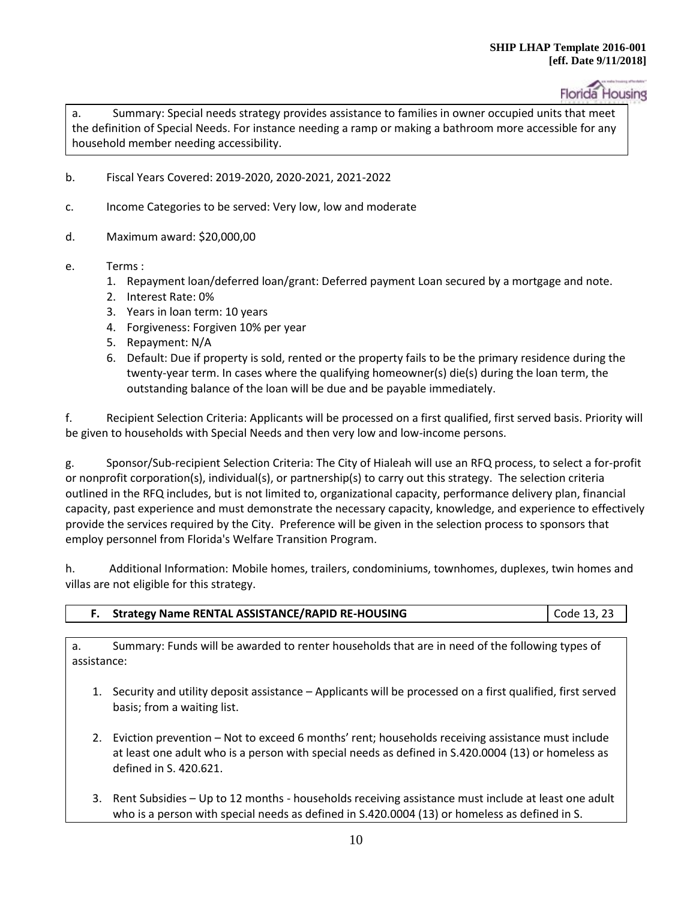a. Summary: Special needs strategy provides assistance to families in owner occupied units that meet the definition of Special Needs. For instance needing a ramp or making a bathroom more accessible for any household member needing accessibility.

- b. Fiscal Years Covered: 2019-2020, 2020-2021, 2021-2022
- c. Income Categories to be served: Very low, low and moderate
- d. Maximum award: \$20,000,00
- e. Terms :
	- 1. Repayment loan/deferred loan/grant: Deferred payment Loan secured by a mortgage and note.
	- 2. Interest Rate: 0%
	- 3. Years in loan term: 10 years
	- 4. Forgiveness: Forgiven 10% per year
	- 5. Repayment: N/A
	- 6. Default: Due if property is sold, rented or the property fails to be the primary residence during the twenty-year term. In cases where the qualifying homeowner(s) die(s) during the loan term, the outstanding balance of the loan will be due and be payable immediately.

f. Recipient Selection Criteria: Applicants will be processed on a first qualified, first served basis. Priority will be given to households with Special Needs and then very low and low-income persons.

g. Sponsor/Sub-recipient Selection Criteria: The City of Hialeah will use an RFQ process, to select a for-profit or nonprofit corporation(s), individual(s), or partnership(s) to carry out this strategy. The selection criteria outlined in the RFQ includes, but is not limited to, organizational capacity, performance delivery plan, financial capacity, past experience and must demonstrate the necessary capacity, knowledge, and experience to effectively provide the services required by the City. Preference will be given in the selection process to sponsors that employ personnel from Florida's Welfare Transition Program.

h. Additional Information: Mobile homes, trailers, condominiums, townhomes, duplexes, twin homes and villas are not eligible for this strategy.

| <b>Strategy Name RENTAL ASSISTANCE/RAPID RE-HOUSING</b> | $\vert$ Code 13, 23 |
|---------------------------------------------------------|---------------------|
|                                                         |                     |

a. Summary: Funds will be awarded to renter households that are in need of the following types of assistance:

1. Security and utility deposit assistance – Applicants will be processed on a first qualified, first served basis; from a waiting list.

- 2. Eviction prevention Not to exceed 6 months' rent; households receiving assistance must include at least one adult who is a person with special needs as defined in S.420.0004 (13) or homeless as defined in S. 420.621.
- 3. Rent Subsidies Up to 12 months households receiving assistance must include at least one adult who is a person with special needs as defined in S.420.0004 (13) or homeless as defined in S.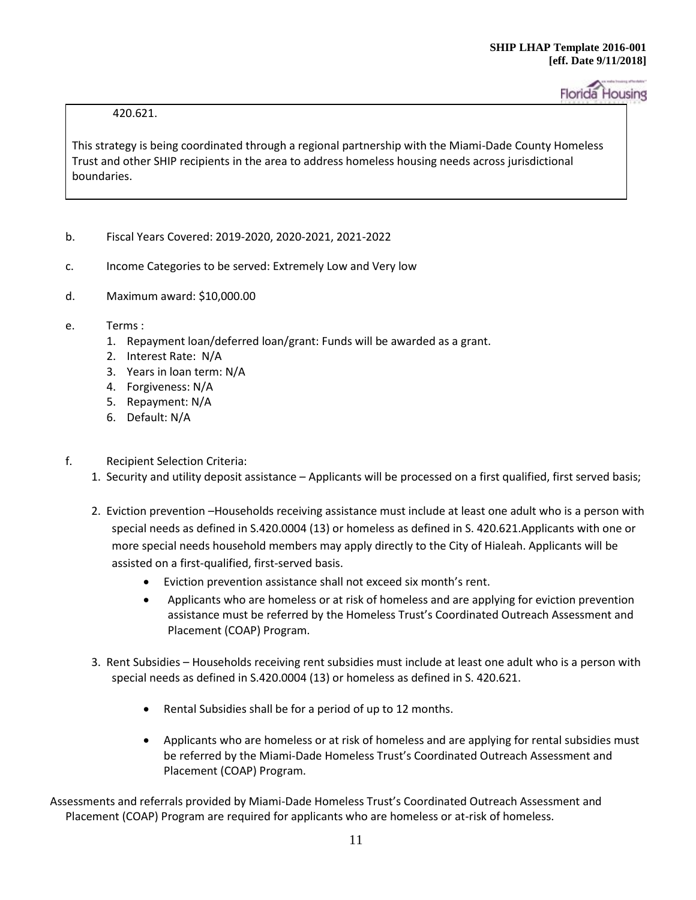# 420.621.

This strategy is being coordinated through a regional partnership with the Miami-Dade County Homeless Trust and other SHIP recipients in the area to address homeless housing needs across jurisdictional boundaries.

- b. Fiscal Years Covered: 2019-2020, 2020-2021, 2021-2022
- c. Income Categories to be served: Extremely Low and Very low
- d. Maximum award: \$10,000.00
- e. Terms :
	- 1. Repayment loan/deferred loan/grant: Funds will be awarded as a grant.
	- 2. Interest Rate: N/A
	- 3. Years in loan term: N/A
	- 4. Forgiveness: N/A
	- 5. Repayment: N/A
	- 6. Default: N/A
- f. Recipient Selection Criteria:
	- 1. Security and utility deposit assistance Applicants will be processed on a first qualified, first served basis;
	- 2. Eviction prevention –Households receiving assistance must include at least one adult who is a person with special needs as defined in S.420.0004 (13) or homeless as defined in S. 420.621.Applicants with one or more special needs household members may apply directly to the City of Hialeah. Applicants will be assisted on a first-qualified, first-served basis.
		- Eviction prevention assistance shall not exceed six month's rent.
		- Applicants who are homeless or at risk of homeless and are applying for eviction prevention assistance must be referred by the Homeless Trust's Coordinated Outreach Assessment and Placement (COAP) Program.
	- 3. Rent Subsidies Households receiving rent subsidies must include at least one adult who is a person with special needs as defined in S.420.0004 (13) or homeless as defined in S. 420.621.
		- Rental Subsidies shall be for a period of up to 12 months.
		- Applicants who are homeless or at risk of homeless and are applying for rental subsidies must be referred by the Miami-Dade Homeless Trust's Coordinated Outreach Assessment and Placement (COAP) Program.

Assessments and referrals provided by Miami-Dade Homeless Trust's Coordinated Outreach Assessment and Placement (COAP) Program are required for applicants who are homeless or at-risk of homeless.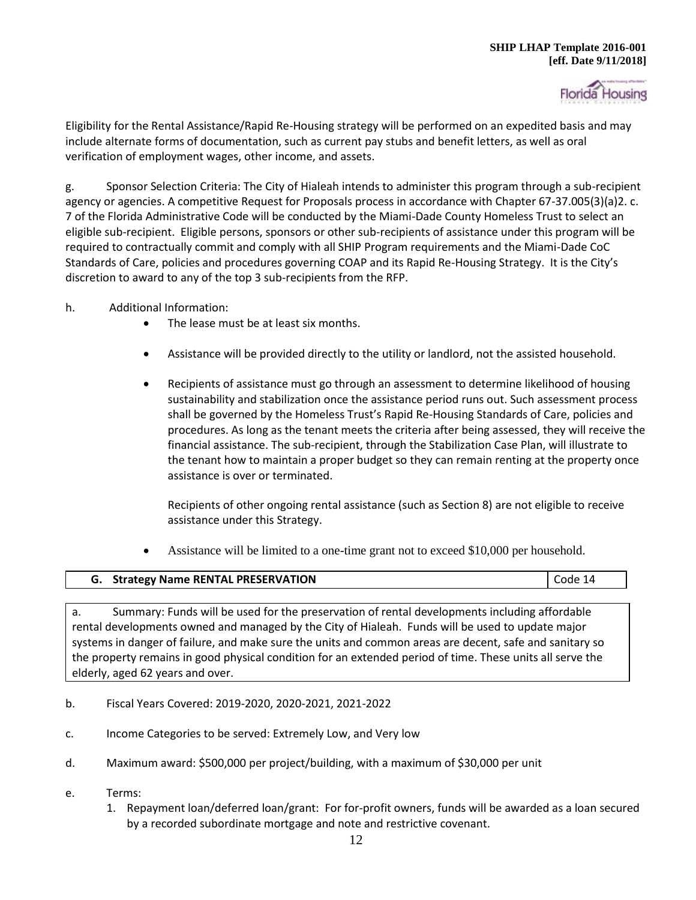

Eligibility for the Rental Assistance/Rapid Re-Housing strategy will be performed on an expedited basis and may include alternate forms of documentation, such as current pay stubs and benefit letters, as well as oral verification of employment wages, other income, and assets.

g. Sponsor Selection Criteria: The City of Hialeah intends to administer this program through a sub-recipient agency or agencies. A competitive Request for Proposals process in accordance with Chapter 67-37.005(3)(a)2. c. 7 of the Florida Administrative Code will be conducted by the Miami-Dade County Homeless Trust to select an eligible sub-recipient. Eligible persons, sponsors or other sub-recipients of assistance under this program will be required to contractually commit and comply with all SHIP Program requirements and the Miami-Dade CoC Standards of Care, policies and procedures governing COAP and its Rapid Re-Housing Strategy. It is the City's discretion to award to any of the top 3 sub-recipients from the RFP.

- h. Additional Information:
	- The lease must be at least six months.
	- Assistance will be provided directly to the utility or landlord, not the assisted household.
	- Recipients of assistance must go through an assessment to determine likelihood of housing sustainability and stabilization once the assistance period runs out. Such assessment process shall be governed by the Homeless Trust's Rapid Re-Housing Standards of Care, policies and procedures. As long as the tenant meets the criteria after being assessed, they will receive the financial assistance. The sub-recipient, through the Stabilization Case Plan, will illustrate to the tenant how to maintain a proper budget so they can remain renting at the property once assistance is over or terminated.

Recipients of other ongoing rental assistance (such as Section 8) are not eligible to receive assistance under this Strategy.

Assistance will be limited to a one-time grant not to exceed \$10,000 per household.

| G. Strategy Name RENTAL PRESERVATION | Code 14 |
|--------------------------------------|---------|
|                                      |         |

a. Summary: Funds will be used for the preservation of rental developments including affordable rental developments owned and managed by the City of Hialeah. Funds will be used to update major systems in danger of failure, and make sure the units and common areas are decent, safe and sanitary so the property remains in good physical condition for an extended period of time. These units all serve the elderly, aged 62 years and over.

- b. Fiscal Years Covered: 2019-2020, 2020-2021, 2021-2022
- c. Income Categories to be served: Extremely Low, and Very low
- d. Maximum award: \$500,000 per project/building, with a maximum of \$30,000 per unit
- e. Terms:
	- 1. Repayment loan/deferred loan/grant: For for-profit owners, funds will be awarded as a loan secured by a recorded subordinate mortgage and note and restrictive covenant.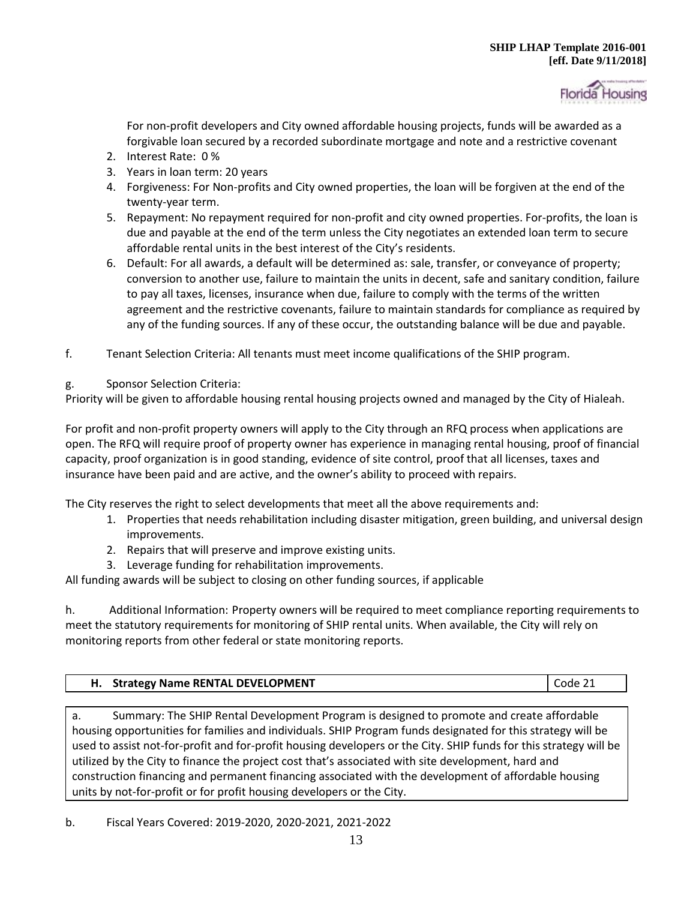

For non-profit developers and City owned affordable housing projects, funds will be awarded as a forgivable loan secured by a recorded subordinate mortgage and note and a restrictive covenant

- 2. Interest Rate: 0 %
- 3. Years in loan term: 20 years
- 4. Forgiveness: For Non-profits and City owned properties, the loan will be forgiven at the end of the twenty-year term.
- 5. Repayment: No repayment required for non-profit and city owned properties. For-profits, the loan is due and payable at the end of the term unless the City negotiates an extended loan term to secure affordable rental units in the best interest of the City's residents.
- 6. Default: For all awards, a default will be determined as: sale, transfer, or conveyance of property; conversion to another use, failure to maintain the units in decent, safe and sanitary condition, failure to pay all taxes, licenses, insurance when due, failure to comply with the terms of the written agreement and the restrictive covenants, failure to maintain standards for compliance as required by any of the funding sources. If any of these occur, the outstanding balance will be due and payable.
- f. Tenant Selection Criteria: All tenants must meet income qualifications of the SHIP program.
- g. Sponsor Selection Criteria:

Priority will be given to affordable housing rental housing projects owned and managed by the City of Hialeah.

For profit and non-profit property owners will apply to the City through an RFQ process when applications are open. The RFQ will require proof of property owner has experience in managing rental housing, proof of financial capacity, proof organization is in good standing, evidence of site control, proof that all licenses, taxes and insurance have been paid and are active, and the owner's ability to proceed with repairs.

The City reserves the right to select developments that meet all the above requirements and:

- 1. Properties that needs rehabilitation including disaster mitigation, green building, and universal design improvements.
- 2. Repairs that will preserve and improve existing units.
- 3. Leverage funding for rehabilitation improvements.

All funding awards will be subject to closing on other funding sources, if applicable

h. Additional Information: Property owners will be required to meet compliance reporting requirements to meet the statutory requirements for monitoring of SHIP rental units. When available, the City will rely on monitoring reports from other federal or state monitoring reports.

a. Summary: The SHIP Rental Development Program is designed to promote and create affordable housing opportunities for families and individuals. SHIP Program funds designated for this strategy will be used to assist not-for-profit and for-profit housing developers or the City. SHIP funds for this strategy will be utilized by the City to finance the project cost that's associated with site development, hard and construction financing and permanent financing associated with the development of affordable housing units by not-for-profit or for profit housing developers or the City.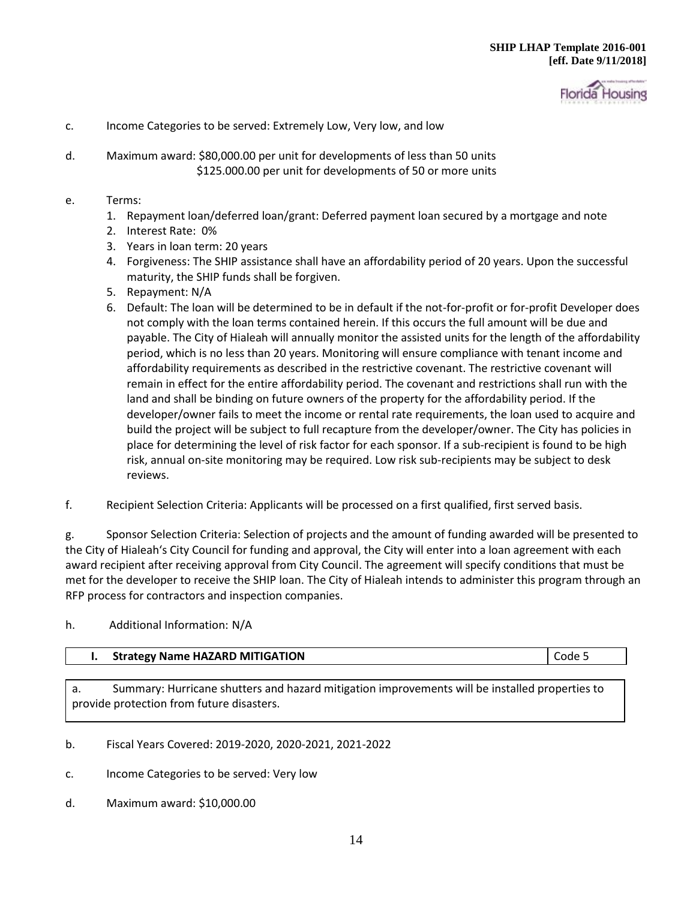

- c. Income Categories to be served: Extremely Low, Very low, and low
- d. Maximum award: \$80,000.00 per unit for developments of less than 50 units \$125.000.00 per unit for developments of 50 or more units
- e. Terms:
	- 1. Repayment loan/deferred loan/grant: Deferred payment loan secured by a mortgage and note
	- 2. Interest Rate: 0%
	- 3. Years in loan term: 20 years
	- 4. Forgiveness: The SHIP assistance shall have an affordability period of 20 years. Upon the successful maturity, the SHIP funds shall be forgiven.
	- 5. Repayment: N/A
	- 6. Default: The loan will be determined to be in default if the not-for-profit or for-profit Developer does not comply with the loan terms contained herein. If this occurs the full amount will be due and payable. The City of Hialeah will annually monitor the assisted units for the length of the affordability period, which is no less than 20 years. Monitoring will ensure compliance with tenant income and affordability requirements as described in the restrictive covenant. The restrictive covenant will remain in effect for the entire affordability period. The covenant and restrictions shall run with the land and shall be binding on future owners of the property for the affordability period. If the developer/owner fails to meet the income or rental rate requirements, the loan used to acquire and build the project will be subject to full recapture from the developer/owner. The City has policies in place for determining the level of risk factor for each sponsor. If a sub-recipient is found to be high risk, annual on-site monitoring may be required. Low risk sub-recipients may be subject to desk reviews.
- f. Recipient Selection Criteria: Applicants will be processed on a first qualified, first served basis.

g. Sponsor Selection Criteria: Selection of projects and the amount of funding awarded will be presented to the City of Hialeah's City Council for funding and approval, the City will enter into a loan agreement with each award recipient after receiving approval from City Council. The agreement will specify conditions that must be met for the developer to receive the SHIP loan. The City of Hialeah intends to administer this program through an RFP process for contractors and inspection companies.

#### h. Additional Information: N/A

# **I.** Strategy Name HAZARD MITIGATION **Code 5 Code 5**

a. Summary: Hurricane shutters and hazard mitigation improvements will be installed properties to provide protection from future disasters.

- b. Fiscal Years Covered: 2019-2020, 2020-2021, 2021-2022
- c. Income Categories to be served: Very low
- d. Maximum award: \$10,000.00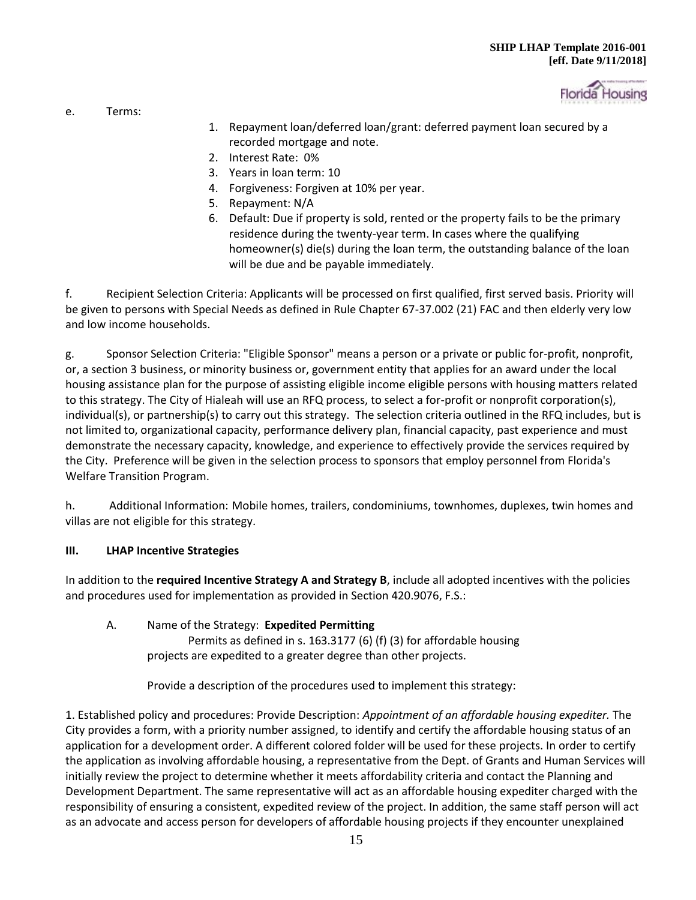

e. Terms:

- 1. Repayment loan/deferred loan/grant: deferred payment loan secured by a recorded mortgage and note.
- 2. Interest Rate: 0%
- 3. Years in loan term: 10
- 4. Forgiveness: Forgiven at 10% per year.
- 5. Repayment: N/A
- 6. Default: Due if property is sold, rented or the property fails to be the primary residence during the twenty-year term. In cases where the qualifying homeowner(s) die(s) during the loan term, the outstanding balance of the loan will be due and be payable immediately.

f. Recipient Selection Criteria: Applicants will be processed on first qualified, first served basis. Priority will be given to persons with Special Needs as defined in Rule Chapter 67-37.002 (21) FAC and then elderly very low and low income households.

g. Sponsor Selection Criteria: "Eligible Sponsor" means a person or a private or public for-profit, nonprofit, or, a section 3 business, or minority business or, government entity that applies for an award under the local housing assistance plan for the purpose of assisting eligible income eligible persons with housing matters related to this strategy. The City of Hialeah will use an RFQ process, to select a for-profit or nonprofit corporation(s), individual(s), or partnership(s) to carry out this strategy. The selection criteria outlined in the RFQ includes, but is not limited to, organizational capacity, performance delivery plan, financial capacity, past experience and must demonstrate the necessary capacity, knowledge, and experience to effectively provide the services required by the City. Preference will be given in the selection process to sponsors that employ personnel from Florida's Welfare Transition Program.

h. Additional Information: Mobile homes, trailers, condominiums, townhomes, duplexes, twin homes and villas are not eligible for this strategy.

# **III. LHAP Incentive Strategies**

In addition to the **required Incentive Strategy A and Strategy B**, include all adopted incentives with the policies and procedures used for implementation as provided in Section 420.9076, F.S.:

A. Name of the Strategy: **Expedited Permitting** Permits as defined in s. 163.3177 (6) (f) (3) for affordable housing projects are expedited to a greater degree than other projects.

Provide a description of the procedures used to implement this strategy:

1. Established policy and procedures: Provide Description: *Appointment of an affordable housing expediter.* The City provides a form, with a priority number assigned, to identify and certify the affordable housing status of an application for a development order. A different colored folder will be used for these projects. In order to certify the application as involving affordable housing, a representative from the Dept. of Grants and Human Services will initially review the project to determine whether it meets affordability criteria and contact the Planning and Development Department. The same representative will act as an affordable housing expediter charged with the responsibility of ensuring a consistent, expedited review of the project. In addition, the same staff person will act as an advocate and access person for developers of affordable housing projects if they encounter unexplained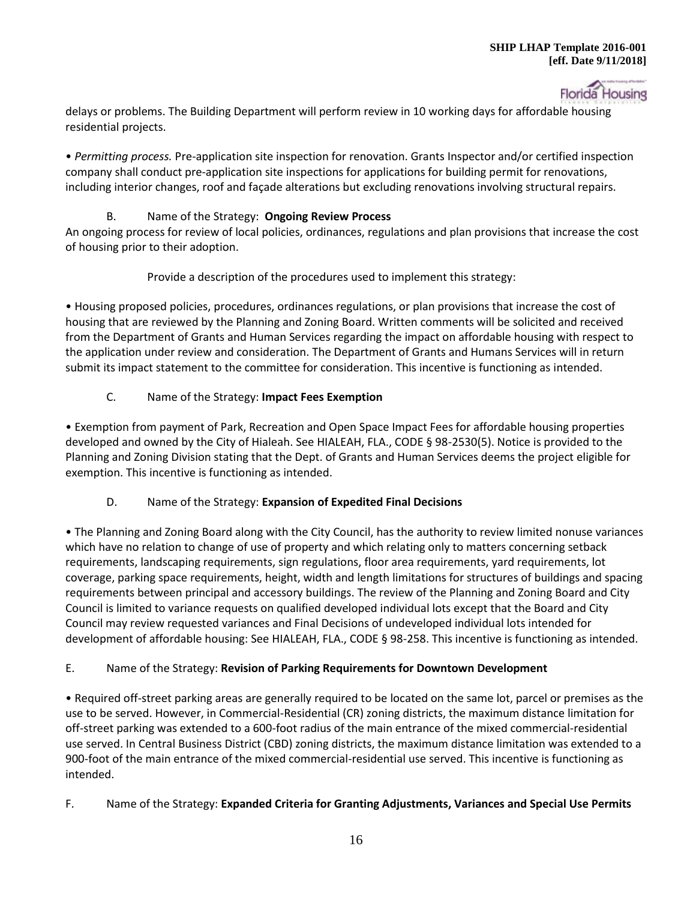

delays or problems. The Building Department will perform review in 10 working days for affordable housing residential projects.

• *Permitting process.* Pre-application site inspection for renovation. Grants Inspector and/or certified inspection company shall conduct pre-application site inspections for applications for building permit for renovations, including interior changes, roof and façade alterations but excluding renovations involving structural repairs.

# B. Name of the Strategy: **Ongoing Review Process**

An ongoing process for review of local policies, ordinances, regulations and plan provisions that increase the cost of housing prior to their adoption.

Provide a description of the procedures used to implement this strategy:

• Housing proposed policies, procedures, ordinances regulations, or plan provisions that increase the cost of housing that are reviewed by the Planning and Zoning Board. Written comments will be solicited and received from the Department of Grants and Human Services regarding the impact on affordable housing with respect to the application under review and consideration. The Department of Grants and Humans Services will in return submit its impact statement to the committee for consideration. This incentive is functioning as intended.

# C. Name of the Strategy: **Impact Fees Exemption**

• Exemption from payment of Park, Recreation and Open Space Impact Fees for affordable housing properties developed and owned by the City of Hialeah. See HIALEAH, FLA., CODE § 98-2530(5). Notice is provided to the Planning and Zoning Division stating that the Dept. of Grants and Human Services deems the project eligible for exemption. This incentive is functioning as intended.

# D. Name of the Strategy: **Expansion of Expedited Final Decisions**

• The Planning and Zoning Board along with the City Council, has the authority to review limited nonuse variances which have no relation to change of use of property and which relating only to matters concerning setback requirements, landscaping requirements, sign regulations, floor area requirements, yard requirements, lot coverage, parking space requirements, height, width and length limitations for structures of buildings and spacing requirements between principal and accessory buildings. The review of the Planning and Zoning Board and City Council is limited to variance requests on qualified developed individual lots except that the Board and City Council may review requested variances and Final Decisions of undeveloped individual lots intended for development of affordable housing: See HIALEAH, FLA., CODE § 98-258. This incentive is functioning as intended.

# E. Name of the Strategy: **Revision of Parking Requirements for Downtown Development**

• Required off-street parking areas are generally required to be located on the same lot, parcel or premises as the use to be served. However, in Commercial-Residential (CR) zoning districts, the maximum distance limitation for off-street parking was extended to a 600-foot radius of the main entrance of the mixed commercial-residential use served. In Central Business District (CBD) zoning districts, the maximum distance limitation was extended to a 900-foot of the main entrance of the mixed commercial-residential use served. This incentive is functioning as intended.

# F. Name of the Strategy: **Expanded Criteria for Granting Adjustments, Variances and Special Use Permits**